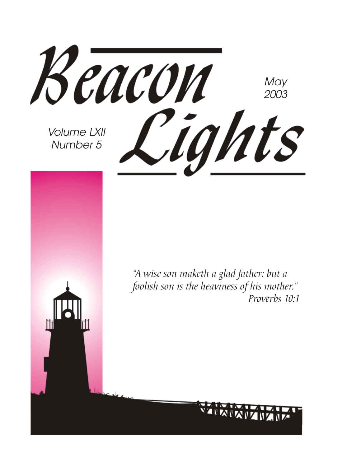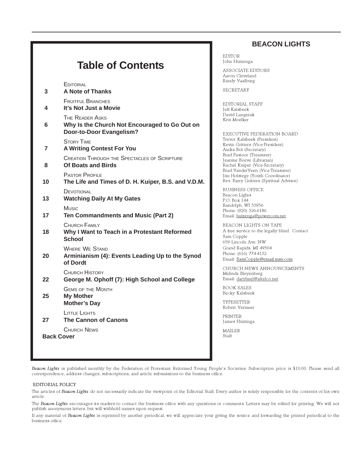#### **BEACON LIGHTS**

|  |  | <b>Table of Contents</b> |
|--|--|--------------------------|
|--|--|--------------------------|

**EDITORIAL** 

| 3                 | <b>A Note of Thanks</b>                                                                      |
|-------------------|----------------------------------------------------------------------------------------------|
| 4                 | <b>FRUITFUL BRANCHES</b><br>It's Not Just a Movie                                            |
| 6                 | THE READER ASKS<br>Why Is the Church Not Encouraged to Go Out on<br>Door-to-Door Evangelism? |
| 7                 | <b>STORY TIME</b><br><b>A Writing Contest For You</b>                                        |
| 8                 | <b>CREATION THROUGH THE SPECTACLES OF SCRIPTURE</b><br>Of Boats and Birds                    |
| 10                | <b>PASTOR PROFILE</b><br>The Life and Times of D. H. Kuiper, B.S. and V.D.M.                 |
| 13                | DEVOTIONAL<br><b>Watching Daily At My Gates</b>                                              |
| 17                | <b>Music</b><br>Ten Commandments and Music (Part 2)                                          |
| 18                | CHURCH FAMILY<br>Why I Want to Teach in a Protestant Reformed<br><b>School</b>               |
| 20                | <b>WHERE WE STAND</b><br>Arminianism (4): Events Leading Up to the Synod<br>of Dordt         |
| 22                | <b>CHURCH HISTORY</b><br>George M. Ophoff (7): High School and College                       |
| 25                | <b>GEMS OF THE MONTH</b><br><b>My Mother</b><br><b>Mother's Day</b>                          |
| 27                | LITTLE LIGHTS<br><b>The Cannon of Canons</b>                                                 |
| <b>Back Cover</b> | CHURCH NEWS                                                                                  |

EDITOR John Huizenga

ASSOCIATE EDITORS Aaron Cleveland Randy Vaalburg

SECRETARY

EDITORIAL STAFF Jeff Kalsbeek David Langerak Kris Moelker

EXECUTIVE FEDERATION BOARD Trevor Kalsbeek (President) Kevin Gritters (Vice-President) Audra Bol (Secretary) Brad Pastoor (Treasurer) Jeanine Boeve (Librarian) Rachel Kuiper (Vice-Secretary) Brad VanderVeen (Vice-Treasurer) Jim Holstege (Youth Coordinator) Rev. Barry Gritters (Spiritual Advisor)

BUSINESS OFFICE Beacon Lights P.O. Box 144 Randolph, WI 53956 Phone: (920) 326-6186 Email: huizenga@powercom.net

BEACON LIGHTS ON TAPE A free service to the legally blind. Contact Sam Copple 659 Lincoln Ave. NW Grand Rapids, MI 49504 Phone: (616) 774-4132 Email: SamCopple@email.msn.com

CHURCH NEWS ANNOUNCEMENTS Melinda Bleyenberg Email: darylmel@altelco.net.

BOOK SALES Becky Kalsbeek

TYPESETTER Robert Vermeer

PRINTER James Huizinga

MAILER Staff

Beacon Lights is published monthly by the Federation of Protestant Reformed Young People's Societies. Subscription price is \$10.00. Please send all correspondence, address changes, subscriptions, and article submissions to the business office.

#### EDITORIAL POLICY

The articles of Beacon Lights do not necessarily indicate the viewpoint of the Editorial Staff. Every author is solely responsible for the contents of his own article.

The Beacon Lights encourages its readers to contact the business office with any questions or comments. Letters may be edited for printing. We will not publish anonymous letters, but will withhold names upon request.

If any material of Beacon Lights is reprinted by another periodical, we will appreciate your giving the source and forwarding the printed periodical to the business office.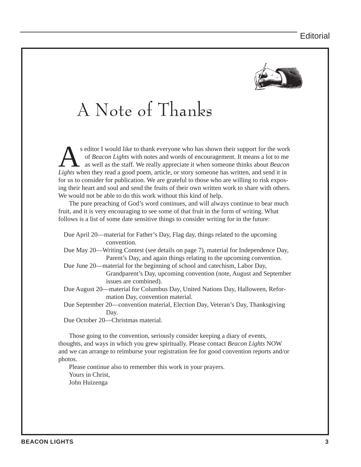

## A Note of Thanks

s editor I would like to thank everyone who has shown their support for the work<br>of *Beacon Lights* with notes and words of encouragement. It means a lot to me<br>as well as the staff. We really appreciate it when someone thi of *Beacon Lights* with notes and words of encouragement. It means a lot to me as well as the staff. We really appreciate it when someone thinks about *Beacon Lights* when they read a good poem, article, or story someone has written, and send it in for us to consider for publication. We are grateful to those who are willing to risk exposing their heart and soul and send the fruits of their own written work to share with others. We would not be able to do this work without this kind of help.

The pure preaching of God's word continues, and will always continue to bear much fruit, and it is very encouraging to see some of that fruit in the form of writing. What follows is a list of some date sensitive things to consider writing for in the future:

| Due April 20—material for Father's Day, Flag day, things related to the upcoming   |
|------------------------------------------------------------------------------------|
| convention.                                                                        |
| Due May 20—Writing Contest (see details on page 7), material for Independence Day, |
| Parent's Day, and again things relating to the upcoming convention.                |
| Due June 20—material for the beginning of school and catechism, Labor Day,         |
| Grandparent's Day, upcoming convention (note, August and September                 |
| issues are combined).                                                              |
| Due August 20—material for Columbus Day, United Nations Day, Halloween, Refor-     |
| mation Day, convention material.                                                   |
| Due September 20—convention material, Election Day, Veteran's Day, Thanksgiving    |
| Day.                                                                               |
| Due October 20—Christmas material.                                                 |
|                                                                                    |

Those going to the convention, seriously consider keeping a diary of events, thoughts, and ways in which you grew spiritually. Please contact *Beacon Lights* NOW and we can arrange to reimburse your registration fee for good convention reports and/or photos.

Please continue also to remember this work in your prayers. Yours in Christ, John Huizenga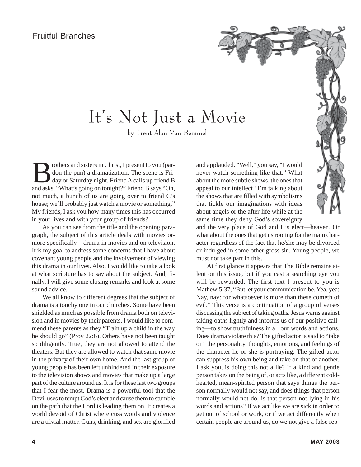### It's Not Just a Movie

by Trent Alan Van Bemmel

**Brothers and sisters in Christ, I present to you (par-**<br>don the pun) a dramatization. The scene is Fri-<br>day or Saturday night. Friend A calls up friend B<br>and asks "What's going on tonight?" Friend B says "Oh don the pun) a dramatization. The scene is Friday or Saturday night. Friend A calls up friend B and asks, "What's going on tonight?" Friend B says "Oh, not much, a bunch of us are going over to friend C's house; we'll probably just watch a movie or something." My friends, I ask you how many times this has occurred in your lives and with your group of friends?

As you can see from the title and the opening paragraph, the subject of this article deals with movies ormore specifically—drama in movies and on television. It is my goal to address some concerns that I have about covenant young people and the involvement of viewing this drama in our lives. Also, I would like to take a look at what scripture has to say about the subject. And, finally, I will give some closing remarks and look at some sound advice.

We all know to different degrees that the subject of drama is a touchy one in our churches. Some have been shielded as much as possible from drama both on television and in movies by their parents. I would like to commend these parents as they "Train up a child in the way he should go" (Prov 22:6). Others have not been taught so diligently. True, they are not allowed to attend the theaters. But they are allowed to watch that same movie in the privacy of their own home. And the last group of young people has been left unhindered in their exposure to the television shows and movies that make up a large part of the culture around us. It is for these last two groups that I fear the most. Drama is a powerful tool that the Devil uses to tempt God's elect and cause them to stumble on the path that the Lord is leading them on. It creates a world devoid of Christ where cuss words and violence are a trivial matter. Guns, drinking, and sex are glorified

and applauded. "Well," you say, "I would never watch something like that." What about the more subtle shows, the ones that appeal to our intellect? I'm talking about the shows that are filled with symbolisms that tickle our imaginations with ideas about angels or the after life while at the same time they deny God's sovereignty

and the very place of God and His elect—heaven. Or what about the ones that get us rooting for the main character regardless of the fact that he/she may be divorced or indulged in some other gross sin. Young people, we must not take part in this.

Story Time

At first glance it appears that The Bible remains silent on this issue, but if you cast a searching eye you will be rewarded. The first text I present to you is Mathew 5:37, "But let your communication be, Yea, yea; Nay, nay: for whatsoever is more than these cometh of evil." This verse is a continuation of a group of verses discussing the subject of taking oaths. Jesus warns against taking oaths lightly and informs us of our positive calling—to show truthfulness in all our words and actions. Does drama violate this? The gifted actor is said to "take on" the personality, thoughts, emotions, and feelings of the character he or she is portraying. The gifted actor can suppress his own being and take on that of another. I ask you, is doing this not a lie? If a kind and gentle person takes on the being of, or acts like, a different coldhearted, mean-spirited person that says things the person normally would not say, and does things that person normally would not do, is that person not lying in his words and actions? If we act like we are sick in order to get out of school or work, or if we act differently when certain people are around us, do we not give a false rep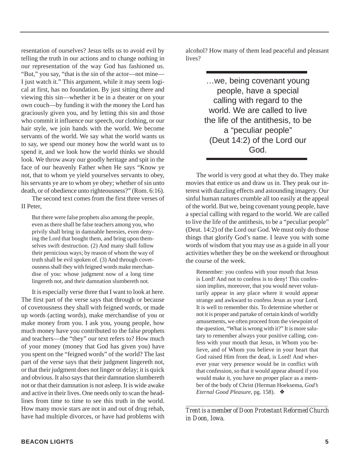resentation of ourselves? Jesus tells us to avoid evil by telling the truth in our actions and to change nothing in our representation of the way God has fashioned us. "But," you say, "that is the sin of the actor—not mine— I just watch it." This argument, while it may seem logical at first, has no foundation. By just sitting there and viewing this sin—whether it be in a theater or on your own couch—by funding it with the money the Lord has graciously given you, and by letting this sin and those who commit it influence our speech, our clothing, or our hair style, we join hands with the world. We become servants of the world. We say what the world wants us to say, we spend our money how the world want us to spend it, and we look how the world thinks we should look. We throw away our goodly heritage and spit in the face of our heavenly Father when He says "Know ye not, that to whom ye yield yourselves servants to obey, his servants ye are to whom ye obey; whether of sin unto death, or of obedience unto righteousness?" (Rom. 6:16).

The second text comes from the first three verses of II Peter,

But there were false prophets also among the people, even as there shall be false teachers among you, who privily shall bring in damnable heresies, even denying the Lord that bought them, and bring upon themselves swift destruction. (2) And many shall follow their pernicious ways; by reason of whom the way of truth shall be evil spoken of. (3) And through covetousness shall they with feigned words make merchandise of you: whose judgment now of a long time lingereth not, and their damnation slumbereth not.

It is especially verse three that I want to look at here. The first part of the verse says that through or because of covetousness they shall with feigned words, or made up words (acting words), make merchandise of you or make money from you. I ask you, young people, how much money have you contributed to the false prophets and teachers—the "they" our text refers to? How much of your money (money that God has given you) have you spent on the "feigned words" of the world? The last part of the verse says that their judgment lingereth not, or that their judgment does not linger or delay; it is quick and obvious. It also says that their damnation slumbereth not or that their damnation is not asleep. It is wide awake and active in their lives. One needs only to scan the headlines from time to time to see this truth in the world. How many movie stars are not in and out of drug rehab, have had multiple divorces, or have had problems with

alcohol? How many of them lead peaceful and pleasant lives?

> …we, being covenant young people, have a special calling with regard to the world. We are called to live the life of the antithesis, to be a "peculiar people" (Deut 14:2) of the Lord our God.

The world is very good at what they do. They make movies that entice us and draw us in. They peak our interest with dazzling effects and astounding imagery. Our sinful human natures crumble all too easily at the appeal of the world. But we, being covenant young people, have a special calling with regard to the world. We are called to live the life of the antithesis, to be a "peculiar people" (Deut. 14:2) of the Lord our God. We must only do those things that glorify God's name. I leave you with some words of wisdom that you may use as a guide in all your activities whether they be on the weekend or throughout the course of the week.

Remember: you confess with your mouth that Jesus is Lord! And not to confess is to deny! This confession implies, moreover, that you would never voluntarily appear in any place where it would appear strange and awkward to confess Jesus as your Lord. It is well to remember this. To determine whether or not it is proper and partake of certain kinds of worldly amusements, we often proceed from the viewpoint of the question, "What is wrong with it?" It is more salutary to remember always your positive calling, confess with your mouth that Jesus, in Whom you believe, and of Whom you believe in your heart that God raised Him from the dead, is Lord! And wherever your very presence would be in conflict with that confession, so that it would appear absurd if you would make it, you have no proper place as a member of the body of Christ (Herman Hoeksema, *God's Eternal Good Pleasure*, pg. 158). ❖

*\_\_\_\_\_\_\_\_\_\_\_\_\_\_\_\_\_\_\_\_\_\_\_\_\_\_\_\_\_\_\_\_\_\_\_\_\_\_\_\_\_\_\_\_\_\_\_\_\_\_\_\_\_\_\_\_\_\_\_\_\_\_\_\_\_\_\_\_\_\_\_ Trent is a member of Doon Protestant Reformed Church in Doon, Iowa.*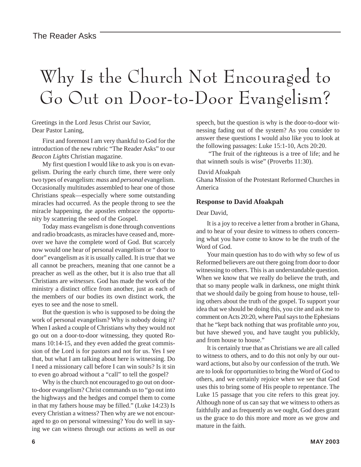# Why Is the Church Not Encouraged to Go Out on Door-to-Door Evangelism?

Greetings in the Lord Jesus Christ our Savior, Dear Pastor Laning,

First and foremost I am very thankful to God for the introduction of the new rubric "The Reader Asks" to our *Beacon Lights* Christian magazine.

My first question I would like to ask you is on evangelism. During the early church time, there were only two types of evangelism: *mass* and *personal* evangelism. Occasionally multitudes assembled to hear one of those Christians speak—especially where some outstanding miracles had occurred. As the people throng to see the miracle happening, the apostles embrace the opportunity by scattering the seed of the Gospel.

Today mass evangelism is done through conventions and radio broadcasts, as miracles have ceased and, moreover we have the complete word of God. But scarcely now would one hear of personal evangelism or " door to door" evangelism as it is usually called. It is true that we all cannot be preachers, meaning that one cannot be a preacher as well as the other, but it is also true that all Christians are *witnesses*. God has made the work of the ministry a distinct office from another, just as each of the members of our bodies its own distinct work, the eyes to see and the nose to smell.

But the question is who is supposed to be doing the work of personal evangelism? Why is nobody doing it? When I asked a couple of Christians why they would not go out on a door-to-door witnessing, they quoted Romans 10:14-15, and they even added the great commission of the Lord is for pastors and not for us. Yes I see that, but what I am talking about here is witnessing. Do I need a missionary call before I can win souls? Is it sin to even go abroad without a "call" to tell the gospel?

Why is the church not encouraged to go out on doorto-door evangelism? Christ commands us to "go out into the highways and the hedges and compel them to come in that my fathers house may be filled." (Luke 14:23) Is every Christian a witness? Then why are we not encouraged to go on personal witnessing? You do well in saying we can witness through our actions as well as our

speech, but the question is why is the door-to-door witnessing fading out of the system? As you consider to answer these questions I would also like you to look at the following passages: Luke 15:1-10, Acts 20:20.

 "The fruit of the righteous is a tree of life; and he that winneth souls is wise" (Proverbs 11:30).

#### David Afoakpah

Ghana Mission of the Protestant Reformed Churches in America

#### **Response to David Afoakpah**

#### Dear David,

It is a joy to receive a letter from a brother in Ghana, and to hear of your desire to witness to others concerning what you have come to know to be the truth of the Word of God.

Your main question has to do with why so few of us Reformed believers are out there going from door to door witnessing to others. This is an understandable question. When we know that we really do believe the truth, and that so many people walk in darkness, one might think that we should daily be going from house to house, telling others about the truth of the gospel. To support your idea that we should be doing this, you cite and ask me to comment on Acts 20:20, where Paul says to the Ephesians that he "kept back nothing that was profitable *unto you*, but have shewed you, and have taught you publickly, and from house to house."

It is certainly true that as Christians we are all called to witness to others, and to do this not only by our outward actions, but also by our confession of the truth. We are to look for opportunities to bring the Word of God to others, and we certainly rejoice when we see that God uses this to bring some of His people to repentance. The Luke 15 passage that you cite refers to this great joy. Although none of us can say that we witness to others as faithfully and as frequently as we ought, God does grant us the grace to do this more and more as we grow and mature in the faith.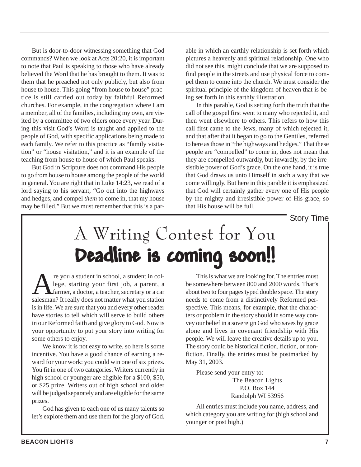But is door-to-door witnessing something that God commands? When we look at Acts 20:20, it is important to note that Paul is speaking to those who have already believed the Word that he has brought to them. It was to them that he preached not only publicly, but also from house to house. This going "from house to house" practice is still carried out today by faithful Reformed churches. For example, in the congregation where I am a member, all of the families, including my own, are visited by a committee of two elders once every year. During this visit God's Word is taught and applied to the people of God, with specific applications being made to each family. We refer to this practice as "family visitation" or "house visitation," and it is an example of the teaching from house to house of which Paul speaks.

But God in Scripture does not command His people to go from house to house among the people of the world in general. You are right that in Luke 14:23, we read of a lord saying to his servant, "Go out into the highways and hedges, and compel *them* to come in, that my house may be filled." But we must remember that this is a parable in which an earthly relationship is set forth which pictures a heavenly and spiritual relationship. One who did not see this, might conclude that we are supposed to find people in the streets and use physical force to compel them to come into the church. We must consider the spiritual principle of the kingdom of heaven that is being set forth in this earthly illustration.

In this parable, God is setting forth the truth that the call of the gospel first went to many who rejected it, and then went elsewhere to others. This refers to how this call first came to the Jews, many of which rejected it, and that after that it began to go to the Gentiles, referred to here as those in "the highways and hedges." That these people are "compelled" to come in, does not mean that they are compelled outwardly, but inwardly, by the irresistible power of God's grace. On the one hand, it is true that God draws us unto Himself in such a way that we come willingly. But here in this parable it is emphasized that God will certainly gather every one of His people by the mighty and irresistible power of His grace, so that His house will be full.

Story Time

# A Writing Contest for You Deadline is coming soon!!

re you a student in school, a student in college, starting your first job, a parent, a farmer, a doctor, a teacher, secretary or a car lege, starting your first job, a parent, a farmer, a doctor, a teacher, secretary or a car salesman? It really does not matter what you station is in life. We are sure that you and every other reader have stories to tell which will serve to build others in our Reformed faith and give glory to God. Now is your opportunity to put your story into writing for some others to enjoy.

We know it is not easy to write, so here is some incentive. You have a good chance of earning a reward for your work: you could win one of six prizes. You fit in one of two categories. Writers currently in high school or younger are eligible for a \$100, \$50, or \$25 prize. Writers out of high school and older will be judged separately and are eligible for the same prizes.

God has given to each one of us many talents so let's explore them and use them for the glory of God.

This is what we are looking for. The entries must be somewhere between 800 and 2000 words. That's about two to four pages typed double space. The story needs to come from a distinctively Reformed perspective. This means, for example, that the characters or problem in the story should in some way convey our belief in a sovereign God who saves by grace alone and lives in covenant friendship with His people. We will leave the creative details up to you. The story could be historical fiction, fiction, or nonfiction. Finally, the entries must be postmarked by May 31, 2003.

Please send your entry to: The Beacon Lights

P.O. Box 144 Randolph WI 53956

All entries must include you name, address, and which category you are writing for (high school and younger or post high.)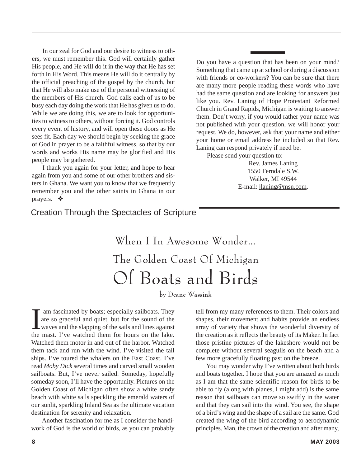In our zeal for God and our desire to witness to others, we must remember this. God will certainly gather His people, and He will do it in the way that He has set forth in His Word. This means He will do it centrally by the official preaching of the gospel by the church, but that He will also make use of the personal witnessing of the members of His church. God calls each of us to be busy each day doing the work that He has given us to do. While we are doing this, we are to look for opportunities to witness to others, without forcing it. God controls every event of history, and will open these doors as He sees fit. Each day we should begin by seeking the grace of God in prayer to be a faithful witness, so that by our words and works His name may be glorified and His people may be gathered.

I thank you again for your letter, and hope to hear again from you and some of our other brothers and sisters in Ghana. We want you to know that we frequently remember you and the other saints in Ghana in our prayers. ◆

Do you have a question that has been on your mind? Something that came up at school or during a discussion with friends or co-workers? You can be sure that there are many more people reading these words who have had the same question and are looking for answers just like you. Rev. Laning of Hope Protestant Reformed Church in Grand Rapids, Michigan is waiting to answer them. Don't worry, if you would rather your name was not published with your question, we will honor your request. We do, however, ask that your name and either your home or email address be included so that Rev. Laning can respond privately if need be.

Please send your question to:

Rev. James Laning 1550 Ferndale S.W. Walker, MI 49544 E-mail: jlaning@msn.com.

### Creation Through the Spectacles of Scripture

When I In Awesome Wonder… The Golden Coast Of Michigan Of Boats and Birds

by Deane Wassink

I am fascinated by boats; especially sailboats. They are so graceful and quiet, but for the sound of the waves and the slapping of the sails and lines against the mast. I've watched them for hours on the lake. am fascinated by boats; especially sailboats. They are so graceful and quiet, but for the sound of the waves and the slapping of the sails and lines against Watched them motor in and out of the harbor. Watched them tack and run with the wind. I've visited the tall ships. I've toured the whalers on the East Coast. I've read *Moby Dick* several times and carved small wooden sailboats. But, I've never sailed. Someday, hopefully someday soon, I'll have the opportunity. Pictures on the Golden Coast of Michigan often show a white sandy beach with white sails speckling the emerald waters of our sunlit, sparkling Inland Sea as the ultimate vacation destination for serenity and relaxation.

Another fascination for me as I consider the handiwork of God is the world of birds, as you can probably

tell from my many references to them. Their colors and shapes, their movement and habits provide an endless array of variety that shows the wonderful diversity of the creation as it reflects the beauty of its Maker. In fact those pristine pictures of the lakeshore would not be complete without several seagulls on the beach and a few more gracefully floating past on the breeze.

You may wonder why I've written about both birds and boats together. I hope that you are amazed as much as I am that the same scientific reason for birds to be able to fly (along with planes, I might add) is the same reason that sailboats can move so swiftly in the water and that they can sail into the wind. You see, the shape of a bird's wing and the shape of a sail are the same. God created the wing of the bird according to aerodynamic principles. Man, the crown of the creation and after many,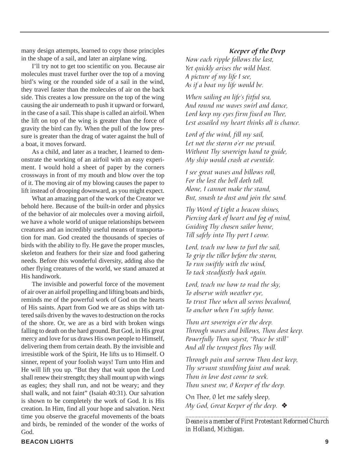many design attempts, learned to copy those principles in the shape of a sail, and later an airplane wing.

I'll try not to get too scientific on you. Because air molecules must travel further over the top of a moving bird's wing or the rounded side of a sail in the wind, they travel faster than the molecules of air on the back side. This creates a low pressure on the top of the wing causing the air underneath to push it upward or forward, in the case of a sail. This shape is called an airfoil. When the lift on top of the wing is greater than the force of gravity the bird can fly. When the pull of the low pressure is greater than the drag of water against the hull of a boat, it moves forward.

As a child, and later as a teacher, I learned to demonstrate the working of an airfoil with an easy experiment. I would hold a sheet of paper by the corners crossways in front of my mouth and blow over the top of it. The moving air of my blowing causes the paper to lift instead of drooping downward, as you might expect.

What an amazing part of the work of the Creator we behold here. Because of the built-in order and physics of the behavior of air molecules over a moving airfoil, we have a whole world of unique relationships between creatures and an incredibly useful means of transportation for man. God created the thousands of species of birds with the ability to fly. He gave the proper muscles, skeleton and feathers for their size and food gathering needs. Before this wonderful diversity, adding also the other flying creatures of the world, we stand amazed at His handiwork.

The invisible and powerful force of the movement of air over an airfoil propelling and lifting boats and birds, reminds me of the powerful work of God on the hearts of His saints. Apart from God we are as ships with tattered sails driven by the waves to destruction on the rocks of the shore. Or, we are as a bird with broken wings falling to death on the hard ground. But God, in His great mercy and love for us draws His own people to Himself, delivering them from certain death. By the invisible and irresistible work of the Spirit, He lifts us to Himself. O sinner, repent of your foolish ways! Turn unto Him and He will lift you up. "But they that wait upon the Lord shall renew their strength; they shall mount up with wings as eagles; they shall run, and not be weary; and they shall walk, and not faint" (Isaiah 40:31). Our salvation is shown to be completely the work of God. It is His creation. In Him, find all your hope and salvation. Next time you observe the graceful movements of the boats and birds, be reminded of the wonder of the works of God.

#### Keeper of the Deep

Now each ripple follows the last, Yet quickly arises the wild blast. A picture of my life I see, As if a boat my life would be.

When sailing on life's fitful sea, And round me waves swirl and dance, Lord keep my eyes firm fixed on Thee, Lest assailed my heart thinks all is chance.

Lord of the wind, fill my sail, Let not the storm o'er me prevail. Without Thy sovereign hand to guide, My ship would crash at eventide.

I see great waves and billows roll, For the lost the bell doth toll. Alone, I cannot make the stand, But, smash to dust and join the sand.

Thy Word of Light a beacon shines, Piercing dark of heart and fog of mind, Guiding Thy chosen sailor home, Till safely into Thy port I come.

Lord, teach me how to furl the sail, To grip the tiller before the storm, To run swiftly with the wind, To tack steadfastly back again.

Lord, teach me how to read the sky, To observe with weather eye, To trust Thee when all seems becalmed, To anchor when I'm safely home.

Thou art sovereign o'er the deep. Through waves and billows, Thou dost keep. Powerfully Thou sayest, "Peace be still" And all the tempest flees Thy will.

Through pain and sorrow Thou dost keep, Thy servant stumbling faint and weak. Thou in love dost come to seek. Thou savest me, 0 Keeper of the deep.

On Thee, 0 let me safely sleep, My God, Great Keeper of the deep.  $\clubsuit$ 

*\_\_\_\_\_\_\_\_\_\_\_\_\_\_\_\_\_\_\_\_\_\_\_\_\_\_\_\_\_\_\_\_\_\_\_\_\_\_\_\_\_\_\_\_\_\_ Deane is a member of First Protestant Reformed Church in Holland, Michigan.*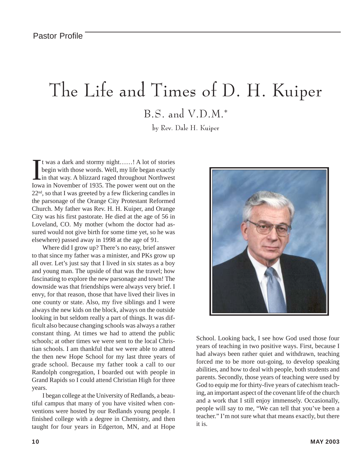# The Life and Times of D. H. Kuiper B.S. and V.D.M.\*

by Rev. Dale H. Kuiper

It was a dark and stormy night......! A lot of stories<br>begin with those words. Well, my life began exactly<br>in that way. A blizzard raged throughout Northwest<br>Iowa in November of 1935. The power went out on the t was a dark and stormy night……! A lot of stories begin with those words. Well, my life began exactly in that way. A blizzard raged throughout Northwest  $22<sup>nd</sup>$ , so that I was greeted by a few flickering candles in the parsonage of the Orange City Protestant Reformed Church. My father was Rev. H. H. Kuiper, and Orange City was his first pastorate. He died at the age of 56 in Loveland, CO. My mother (whom the doctor had assured would not give birth for some time yet, so he was elsewhere) passed away in 1998 at the age of 91.

Where did I grow up? There's no easy, brief answer to that since my father was a minister, and PKs grow up all over. Let's just say that I lived in six states as a boy and young man. The upside of that was the travel; how fascinating to explore the new parsonage and town! The downside was that friendships were always very brief. I envy, for that reason, those that have lived their lives in one county or state. Also, my five siblings and I were always the new kids on the block, always on the outside looking in but seldom really a part of things. It was difficult also because changing schools was always a rather constant thing. At times we had to attend the public schools; at other times we were sent to the local Christian schools. I am thankful that we were able to attend the then new Hope School for my last three years of grade school. Because my father took a call to our Randolph congregation, I boarded out with people in Grand Rapids so I could attend Christian High for three years.

I began college at the University of Redlands, a beautiful campus that many of you have visited when conventions were hosted by our Redlands young people. I finished college with a degree in Chemistry, and then taught for four years in Edgerton, MN, and at Hope



School. Looking back, I see how God used those four years of teaching in two positive ways. First, because I had always been rather quiet and withdrawn, teaching forced me to be more out-going, to develop speaking abilities, and how to deal with people, both students and parents. Secondly, those years of teaching were used by God to equip me for thirty-five years of catechism teaching, an important aspect of the covenant life of the church and a work that I still enjoy immensely. Occasionally, people will say to me, "We can tell that you've been a teacher." I'm not sure what that means exactly, but there it is.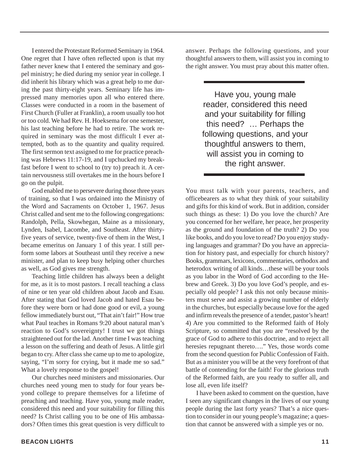I entered the Protestant Reformed Seminary in 1964. One regret that I have often reflected upon is that my father never knew that I entered the seminary and gospel ministry; he died during my senior year in college. I did inherit his library which was a great help to me during the past thirty-eight years. Seminary life has impressed many memories upon all who entered there. Classes were conducted in a room in the basement of First Church (Fuller at Franklin), a room usually too hot or too cold. We had Rev. H. Hoeksema for one semester, his last teaching before he had to retire. The work required in seminary was the most difficult I ever attempted, both as to the quantity and quality required. The first sermon text assigned to me for practice preaching was Hebrews 11:17-19, and I upchucked my breakfast before I went to school to (try to) preach it. A certain nervousness still overtakes me in the hours before I go on the pulpit.

God enabled me to persevere during those three years of training, so that I was ordained into the Ministry of the Word and Sacraments on October 1, 1967. Jesus Christ called and sent me to the following congregations: Randolph, Pella, Skowhegan, Maine as a missionary, Lynden, Isabel, Lacombe, and Southeast. After thirtyfive years of service, twenty-five of them in the West, I became emeritus on January 1 of this year. I still perform some labors at Southeast until they receive a new minister, and plan to keep busy helping other churches as well, as God gives me strength.

Teaching little children has always been a delight for me, as it is to most pastors. I recall teaching a class of nine or ten year old children about Jacob and Esau. After stating that God loved Jacob and hated Esau before they were born or had done good or evil, a young fellow immediately burst out, "That ain't fair!" How true what Paul teaches in Romans 9:20 about natural man's reaction to God's sovereignty! I trust we got things straightened out for the lad. Another time I was teaching a lesson on the suffering and death of Jesus. A little girl began to cry. After class she came up to me to apologize, saying, "I'm sorry for crying, but it made me so sad." What a lovely response to the gospel!

Our churches need ministers and missionaries. Our churches need young men to study for four years beyond college to prepare themselves for a lifetime of preaching and teaching. Have you, young male reader, considered this need and your suitability for filling this need? Is Christ calling you to be one of His ambassadors? Often times this great question is very difficult to

answer. Perhaps the following questions, and your thoughtful answers to them, will assist you in coming to the right answer. You must pray about this matter often.

> Have you, young male reader, considered this need and your suitability for filling this need? … Perhaps the following questions, and your thoughtful answers to them, will assist you in coming to the right answer.

You must talk with your parents, teachers, and officebearers as to what they think of your suitability and gifts for this kind of work. But in addition, consider such things as these: 1) Do you love the church? Are you concerned for her welfare, her peace, her prosperity as the ground and foundation of the truth? 2) Do you like books, and do you love to read? Do you enjoy studying languages and grammar? Do you have an appreciation for history past, and especially for church history? Books, grammars, lexicons, commentaries, orthodox and heterodox writing of all kinds…these will be your tools as you labor in the Word of God according to the Hebrew and Greek. 3) Do you love God's people, and especially old people? I ask this not only because ministers must serve and assist a growing number of elderly in the churches, but especially because love for the aged and infirm reveals the presence of a tender, pastor's heart! 4) Are you committed to the Reformed faith of Holy Scripture, so committed that you are "resolved by the grace of God to adhere to this doctrine, and to reject all heresies repugnant thereto…." Yes, those words come from the second question for Public Confession of Faith. But as a minister you will be at the very forefront of that battle of contending for the faith! For the glorious truth of the Reformed faith, are you ready to suffer all, and lose all, even life itself?

I have been asked to comment on the question, have I seen any significant changes in the lives of our young people during the last forty years? That's a nice question to consider in our young people's magazine; a question that cannot be answered with a simple yes or no.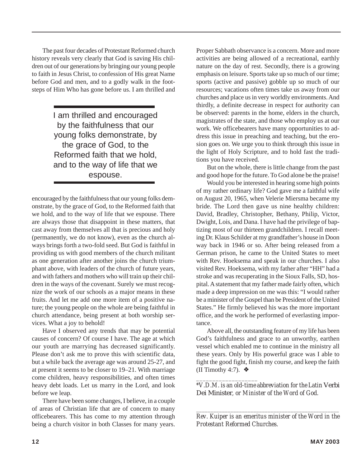The past four decades of Protestant Reformed church history reveals very clearly that God is saving His children out of our generations by bringing our young people to faith in Jesus Christ, to confession of His great Name before God and men, and to a godly walk in the footsteps of Him Who has gone before us. I am thrilled and

> I am thrilled and encouraged by the faithfulness that our young folks demonstrate, by the grace of God, to the Reformed faith that we hold, and to the way of life that we espouse.

encouraged by the faithfulness that our young folks demonstrate, by the grace of God, to the Reformed faith that we hold, and to the way of life that we espouse. There are always those that disappoint in these matters, that cast away from themselves all that is precious and holy (permanently, we do not know), even as the church always brings forth a two-fold seed. But God is faithful in providing us with good members of the church militant as one generation after another joins the church triumphant above, with leaders of the church of future years, and with fathers and mothers who will train up their children in the ways of the covenant. Surely we must recognize the work of our schools as a major means in these fruits. And let me add one more item of a positive nature; the young people on the whole are being faithful in church attendance, being present at both worship services. What a joy to behold!

Have I observed any trends that may be potential causes of concern? Of course I have. The age at which our youth are marrying has decreased significantly. Please don't ask me to prove this with scientific data, but a while back the average age was around 25-27, and at present it seems to be closer to 19–21. With marriage come children, heavy responsibilities, and often times heavy debt loads. Let us marry in the Lord, and look before we leap.

There have been some changes, I believe, in a couple of areas of Christian life that are of concern to many officebearers. This has come to my attention through being a church visitor in both Classes for many years.

Proper Sabbath observance is a concern. More and more activities are being allowed of a recreational, earthly nature on the day of rest. Secondly, there is a growing emphasis on leisure. Sports take up so much of our time; sports (active and passive) gobble up so much of our resources; vacations often times take us away from our churches and place us in very worldly environments. And thirdly, a definite decrease in respect for authority can be observed: parents in the home, elders in the church, magistrates of the state, and those who employ us at our work. We officebearers have many opportunities to address this issue in preaching and teaching, but the erosion goes on. We urge you to think through this issue in the light of Holy Scripture, and to hold fast the traditions you have received.

But on the whole, there is little change from the past and good hope for the future. To God alone be the praise!

Would you be interested in hearing some high points of my rather ordinary life? God gave me a faithful wife on August 20, 1965, when Velerie Miersma became my bride. The Lord then gave us nine healthy children: David, Bradley, Christopher, Bethany, Philip, Victor, Dwight, Lois, and Dana. I have had the privilege of baptizing most of our thirteen grandchildren. I recall meeting Dr. Klaus Schilder at my grandfather's house in Doon way back in 1946 or so. After being released from a German prison, he came to the United States to meet with Rev. Hoeksema and speak in our churches. I also visited Rev. Hoeksema, with my father after "HH" had a stroke and was recuperating in the Sioux Falls, SD, hospital. A statement that my father made fairly often, which made a deep impression on me was this: "I would rather be a minister of the Gospel than be President of the United States." He firmly believed his was the more important office, and the work he performed of everlasting importance.

Above all, the outstanding feature of my life has been God's faithfulness and grace to an unworthy, earthen vessel which enabled me to continue in the ministry all these years. Only by His powerful grace was I able to fight the good fight, finish my course, and keep the faith (II Timothy 4:7). ❖

*\_\_\_\_\_\_\_\_\_\_\_\_\_\_\_\_\_\_\_ \*V.D.M. is an old-time abbreviation for the Latin* Verbi Dei Minister*, or Minister of the Word of God.*

*\_\_\_\_\_\_\_\_\_\_\_\_\_\_\_\_\_\_\_\_\_\_\_\_\_\_\_\_\_\_\_\_\_\_\_\_\_\_\_\_\_\_\_\_\_\_\_\_\_\_ Rev. Kuiper is an emeritus minister of the Word in the Protestant Reformed Churches.*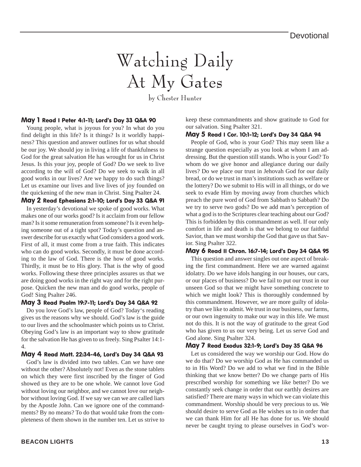# Watching Daily At My Gates

by Chester Hunter

#### May 1 Read I Peter 4:1-11; Lord's Day 33 Q&A 90

Young people, what is joyous for you? In what do you find delight in this life? Is it things? Is it worldly happiness? This question and answer outlines for us what should be our joy. We should joy in living a life of thankfulness to God for the great salvation He has wrought for us in Christ Jesus. Is this your joy, people of God? Do we seek to live according to the will of God? Do we seek to walk in all good works in our lives? Are we happy to do such things? Let us examine our lives and live lives of joy founded on the quickening of the new man in Christ. Sing Psalter 24.

#### May 2 Read Ephesians 2:1-10; Lord's Day 33 Q&A 91

In yesterday's devotional we spoke of good works. What makes one of our works good? Is it acclaim from our fellow man? Is it some remuneration from someone? Is it even helping someone out of a tight spot? Today's question and answer describe for us exactly what God considers a good work. First of all, it must come from a true faith. This indicates who can do good works. Secondly, it must be done according to the law of God. There is the how of good works. Thirdly, it must be to His glory. That is the why of good works. Following these three principles assures us that we are doing good works in the right way and for the right purpose. Quicken the new man and do good works, people of God! Sing Psalter 246.

#### May 3 Read Psalm 19:7-11; Lord's Day 34 Q&A 92

Do you love God's law, people of God? Today's reading gives us the reasons why we should. God's law is the guide to our lives and the schoolmaster which points us to Christ. Obeying God's law is an important way to show gratitude for the salvation He has given to us freely. Sing Psalter 14:1- 4.

#### May 4 Read Matt. 22:34-46, Lord's Day 34 Q&A 93

God's law is divided into two tables. Can we have one without the other? Absolutely not! Even as the stone tablets on which they were first inscribed by the finger of God showed us they are to be one whole. We cannot love God without loving our neighbor, and we cannot love our neighbor without loving God. If we say we can we are called liars by the Apostle John. Can we ignore one of the commandments? By no means? To do that would take from the completeness of them shown in the number ten. Let us strive to keep these commandments and show gratitude to God for our salvation. Sing Psalter 321.

#### May 5 Read I Cor. 10:1-12; Lord's Day 34 Q&A 94

People of God, who is your God? This may seem like a strange question especially as you look at whom I am addressing. But the question still stands. Who is your God? To whom do we give honor and allegiance during our daily lives? Do we place our trust in Jehovah God for our daily bread, or do we trust in man's institutions such as welfare or the lottery? Do we submit to His will in all things, or do we seek to evade Him by moving away from churches which preach the pure word of God from Sabbath to Sabbath? Do we try to serve two gods? Do we add man's perception of what a god is to the Scriptures clear teaching about our God? This is forbidden by this commandment as well. If our only comfort in life and death is that we belong to our faithful Savior, than we must worship the God that gave us that Savior. Sing Psalter 322.

#### May 6 Read II Chron. 16:7-14; Lord's Day 34 Q&A 95

This question and answer singles out one aspect of breaking the first commandment. Here we are warned against idolatry. Do we have idols hanging in our houses, our cars, or our places of business? Do we fail to put our trust in our unseen God so that we might have something concrete to which we might look? This is thoroughly condemned by this commandment. However, we are more guilty of idolatry than we like to admit. We trust in our business, our farms, or our own ingenuity to make our way in this life. We must not do this. It is not the way of gratitude to the great God who has given to us our very being. Let us serve God and God alone. Sing Psalter 324.

#### May 7 Read Exodus 32:1-9; Lord's Day 35 Q&A 96

Let us considered the way we worship our God. How do we do that? Do we worship God as He has commanded us to in His Word? Do we add to what we find in the Bible thinking that we know better? Do we change parts of His prescribed worship for something we like better? Do we constantly seek change in order that our earthly desires are satisfied? There are many ways in which we can violate this commandment. Worship should be very precious to us. We should desire to serve God as He wishes us to in order that we can thank Him for all He has done for us. We should never be caught trying to please ourselves in God's wor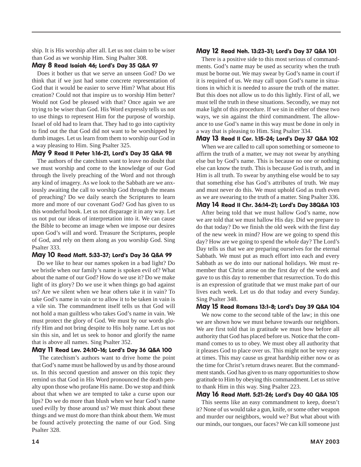ship. It is His worship after all. Let us not claim to be wiser than God as we worship Him. Sing Psalter 308.

#### May 8 Read Isaiah 46; Lord's Day 35 Q&A 97

Does it bother us that we serve an unseen God? Do we think that if we just had some concrete representation of God that it would be easier to serve Him? What about His creation? Could not that inspire us to worship Him better? Would not God be pleased with that? Once again we are trying to be wiser than God. His Word expressly tells us not to use things to represent Him for the purpose of worship. Israel of old had to learn that. They had to go into captivity to find out the that God did not want to be worshipped by dumb images. Let us learn from them to worship our God in a way pleasing to Him. Sing Psalter 325.

#### May 9 Read II Peter 1:16-21, Lord's Day 35 Q&A 98

The authors of the catechism want to leave no doubt that we must worship and come to the knowledge of our God through the lively preaching of the Word and not through any kind of imagery. As we look to the Sabbath are we anxiously awaiting the call to worship God through the means of preaching? Do we daily search the Scriptures to learn more and more of our covenant God? God has given to us this wonderful book. Let us not disparage it in any way. Let us not put our ideas of interpretation into it. We can cause the Bible to become an image when we impose our desires upon God's will and word. Treasure the Scriptures, people of God, and rely on them along as you worship God. Sing Psalter 333.

#### May 10 Read Matt. 5:33-37; Lord's Day 36 Q&A 99

Do we like to hear our names spoken in a bad light? Do we bristle when our family's name is spoken evil of? What about the name of our God? How do we use it? Do we make light of its glory? Do we use it when things go bad against us? Are we silent when we hear others take it in vain? To take God's name in vain or to allow it to be taken in vain is a vile sin. The commandment itself tells us that God will not hold a man guiltless who takes God's name in vain. We must protect the glory of God. We must by our words glorify Him and not bring despite to His holy name. Let us not sin this sin, and let us seek to honor and glorify the name that is above all names. Sing Psalter 352.

#### May 11 Read Lev. 24:10-16; Lord's Day 36 Q&A 100

 The catechism's authors want to drive home the point that God's name must be hallowed by us and by those around us. In this second question and answer on this topic they remind us that God in His Word pronounced the death penalty upon those who profane His name. Do we stop and think about that when we are tempted to take a curse upon our lips? Do we do more than blush when we hear God's name used evilly by those around us? We must think about these things and we must do more than think about them. We must be found actively protecting the name of our God. Sing Psalter 328.

#### May 12 Read Neh. 13:23-31; Lord's Day 37 Q&A 101

There is a positive side to this most serious of commandments. God's name may be used as security when the truth must be borne out. We may swear by God's name in court if it is required of us. We may call upon God's name in situations in which it is needed to assure the truth of the matter. But this does not allow us to do this lightly. First of all, we must tell the truth in these situations. Secondly, we may not make light of this procedure. If we sin in either of these two ways, we sin against the third commandment. The allowance to use God's name in this way must be done in only in a way that is pleasing to Him. Sing Psalter 334.

#### May 13 Read II Cor. 1:15-24; Lord's Day 37 Q&A 102

When we are called to call upon something or someone to affirm the truth of a matter, we may not swear by anything else but by God's name. This is because no one or nothing else can know the truth. This is because God is truth, and in Him is all truth. To swear by anything else would be to say that something else has God's attributes of truth. We may and must never do this. We must uphold God as truth even as we are swearing to the truth of a matter. Sing Psalter 336.

#### May 14 Read II Chr. 36:14-21; Lord's Day 38Q&A 103

After being told that we must hallow God's name, now we are told that we must hallow His day. Did we prepare to do that today? Do we finish the old week with the first day of the new week in mind? How are we going to spend this day? How are we going to spend the *whole* day? The Lord's Day tells us that we are preparing ourselves for the eternal Sabbath. We must put as much effort into each and every Sabbath as we do into our national holidays. We must remember that Christ arose on the first day of the week and gave to us this day to remember that resurrection. To do this is an expression of gratitude that we must make part of our lives each week. Let us do that today and every Sunday. Sing Psalter 348.

#### May 15 Read Romans 13:1-8; Lord's Day 39 Q&A 104

We now come to the second table of the law; in this one we are shown how we must behave towards our neighbors. We are first told that in gratitude we must bow before all authority that God has placed before us. Notice that the command comes to us to obey. We must obey all authority that it pleases God to place over us. This might not be very easy at times. This may cause us great hardship either now or as the time for Christ's return draws nearer. But the commandment stands. God has given to us many opportunities to show gratitude to Him by obeying this commandment. Let us strive to thank Him in this way. Sing Psalter 223.

#### May 16 Read Matt. 5:21-26; Lord's Day 40 Q&A 105

This seems like an easy commandment to keep, doesn't it? None of us would take a gun, knife, or some other weapon and murder our neighbors, would we? But what about with our minds, our tongues, our faces? We can kill someone just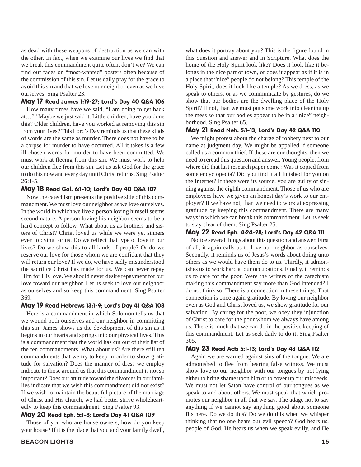as dead with these weapons of destruction as we can with the other. In fact, when we examine our lives we find that we break this commandment quite often, don't we? We can find our faces on "most-wanted" posters often because of the commission of this sin. Let us daily pray for the grace to avoid this sin and that we love our neighbor even as we love ourselves. Sing Psalter 23.

#### May 17 Read James 1:19-27; Lord's Day 40 Q&A 106

How many times have we said, "I am going to get back at…?" Maybe we just said it. Little children, have you done this? Older children, have you worked at removing this sin from your lives? This Lord's Day reminds us that these kinds of words are the same as murder. There does not have to be a corpse for murder to have occurred. All it takes is a few ill-chosen words for murder to have been committed. We must work at fleeing from this sin. We must work to help our children flee from this sin. Let us ask God for the grace to do this now and every day until Christ returns. Sing Psalter 26:1-5.

#### May 18 Read Gal. 6:1-10; Lord's Day 40 Q&A 107

Now the catechism presents the positive side of this commandment. We must love our neighbor as we love ourselves. In the world in which we live a person loving himself seems second nature. A person loving his neighbor seems to be a hard concept to follow. What about us as brothers and sisters of Christ? Christ loved us while we were yet sinners even to dying for us. Do we reflect that type of love in our lives? Do we show this to all kinds of people? Or do we reserve our love for those whom we are confidant that they will return our love? If we do, we have sadly misunderstood the sacrifice Christ has made for us. We can never repay Him for His love. We should never desire repayment for our love toward our neighbor. Let us seek to love our neighbor as ourselves and so keep this commandment. Sing Psalter 369.

#### May 19 Read Hebrews 13:1-9; Lord's Day 41 Q&A 108

Here is a commandment in which Solomon tells us that we wound both ourselves and our neighbor in committing this sin. James shows us the development of this sin as it begins in our hearts and springs into our physical lives. This is a commandment that the world has cut out of their list of the ten commandments. What about us? Are there still ten commandments that we try to keep in order to show gratitude for salvation? Does the manner of dress we employ indicate to those around us that this commandment is not so important? Does our attitude toward the divorces in our families indicate that we wish this commandment did not exist? If we wish to maintain the beautiful picture of the marriage of Christ and His church, we had better strive wholeheartedly to keep this commandment. Sing Psalter 93.

#### May 20 Read Eph. 5:1-8; Lord's Day 41 Q&A 109

Those of you who are house owners, how do you keep your house? If it is the place that you and your family dwell, what does it portray about you? This is the figure found in this question and answer and in Scripture. What does the home of the Holy Spirit look like? Does it look like it belongs in the nice part of town, or does it appear as if it is in a place that "nice" people do not belong? This temple of the Holy Spirit, does it look like a temple? As we dress, as we speak to others, or as we communicate by gestures, do we show that our bodies are the dwelling place of the Holy Spirit? If not, than we must put some work into cleaning up the mess so that our bodies appear to be in a "nice" neighborhood. Sing Psalter 65.

#### May 21 Read Neh. 5:1-13; Lord's Day 42 Q&A 110

We might protest about the charge of robbery next to our name at judgment day. We might be appalled if someone called us a common thief. If these are our thoughts, then we need to reread this question and answer. Young people, from where did that last research paper come? Was it copied from some encyclopedia? Did you find it all finished for you on the Internet? If these were its source, you are guilty of sinning against the eighth commandment. Those of us who are employees have we given an honest day's work to our employer? If we have not, than we need to work at expressing gratitude by keeping this commandment. There are many ways in which we can break this commandment. Let us seek to stay clear of them. Sing Psalter 25.

#### May 22 Read Eph. 4:24-28; Lord's Day 42 Q&A 111

Notice several things about this question and answer. First of all, it again calls us to love our neighbor as ourselves. Secondly, it reminds us of Jesus's words about doing unto others as we would have them do to us. Thirdly, it admonishes us to work hard at our occupations. Finally, it reminds us to care for the poor. Were the writers of the catechism making this commandment say more than God intended? I do not think so. There is a connection in these things. That connection is once again gratitude. By loving our neighbor even as God and Christ loved us, we show gratitude for our salvation. By caring for the poor, we obey they injunction of Christ to care for the poor whom we always have among us. There is much that we can do in the positive keeping of this commandment. Let us seek daily to do it. Sing Psalter 305.

#### May 23 Read Acts 5:1-13; Lord's Day 43 Q&A 112

Again we are warned against sins of the tongue. We are admonished to flee from bearing false witness. We must show love to our neighbor with our tongues by not lying either to bring shame upon him or to cover up our misdeeds. We must not let Satan have control of our tongues as we speak to and about others. We must speak that which promotes our neighbor in all that we say. The adage not to say anything if we cannot say anything good about someone fits here. Do we do this? Do we do this when we whisper thinking that no one hears our evil speech? God hears us, people of God. He hears us when we speak evilly, and He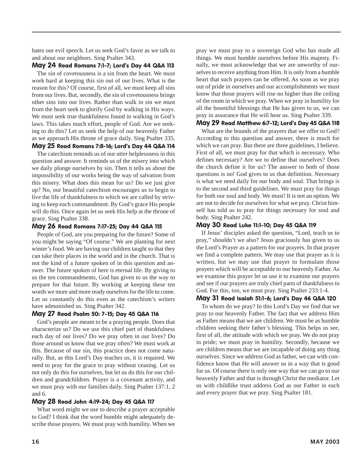hates our evil speech. Let us seek God's favor as we talk to and about our neighbors. Sing Psalter 343.

#### May 24 Read Romans 7:1-7; Lord's Day 44 Q&A 113

The sin of covetousness is a sin from the heart. We must work hard at keeping this sin out of our lives. What is the reason for this? Of course, first of all, we must keep all sins from our lives. But, secondly, the sin of covetousness brings other sins into our lives. Rather than walk in sin we must from the heart seek to glorify God by walking in His ways. We must seek true thankfulness found in walking in God's laws. This takes much effort, people of God. Are we seeking to do this? Let us seek the help of our heavenly Father as we approach His throne of grace daily. Sing Psalter 335.

### May 25 Read Romans 7:8-16; Lord's Day 44 Q&A 114

The catechism reminds us of our utter helplessness in this question and answer. It reminds us of the misery into which we daily plunge ourselves by sin. Then it tells us about the impossibility of our works being the way of salvation from this misery. What does this mean for us? Do we just give up? No, our beautiful catechism encourages us to begin to live the life of thankfulness to which we are called by striving to keep each commandment. By God's grace His people will do this. Once again let us seek His help at the throne of grace. Sing Psalter 338.

#### May 26 Read Romans 7:17-25; Day 44 Q&A 115

People of God, are you preparing for the future? Some of you might be saying "Of course." We are planting for next winter's food. We are having our children taught so that they can take their places in the world and in the church. That is not the kind of a future spoken of in this question and answer. The future spoken of here is eternal life. By giving to us the ten commandments, God has given to us the way to prepare for that future. By working at keeping these ten words we more and more ready ourselves for the life to come. Let us constantly do this even as the catechism's writers have admonished us. Sing Psalter 342.

#### May 27 Read Psalm 50: 7-15; Day 45 Q&A 116

God's people are meant to be a praying people. Does that characterize us? Do we use this chief part of thankfulness each day of our lives? Do we pray often in our lives? Do those around us know that we pray often? We must work at this. Because of our sin, this practice does not come naturally. But, as this Lord's Day teaches us, it is required. We need to pray for the grace to pray without ceasing. Let us not only do this for ourselves, but let us do this for our children and grandchildren. Prayer is a covenant activity, and we must pray with our families daily. Sing Psalter 137:1, 2 and 6.

#### May 28 Read John 4:19-24; Day 45 Q&A 117

What word might we use to describe a prayer acceptable to God? I think that the word humble might adequately describe those prayers. We must pray with humility. When we pray we must pray to a sovereign God who has made all things. We must humble ourselves before His majesty. Finally, we must acknowledge that we are unworthy of ourselves to receive anything from Him. It is only from a humble heart that such prayers can be offered. As soon as we pray out of pride in ourselves and our accomplishments we must know that those prayers will rise no higher than the ceiling of the room in which we pray. When we pray in humility for all the bountiful blessings that He has given to us, we can pray in assurance that He will hear us. Sing Psalter 339.

#### May 29 Read Matthew 6:7-12; Lord's Day 45 Q&A 118

What are the bounds of the prayers that we offer to God? According to this question and answer, there is much for which we can pray. But there are three guidelines, I believe. First of all, we must pray for that which is necessary. Who defines necessary? Are we to define that ourselves? Does the church define it for us? The answer to both of those questions is no! God gives to us that definition. Necessary is what we need daily for our body and soul. That brings is to the second and third guidelines. We must pray for things for both our soul and body. We must! It is not an option. We are not to decide for ourselves for what we pray. Christ himself has told us to pray for things necessary for soul and body. Sing Psalter 242.

#### May 30 Read Luke 11:1-10; Day 45 Q&A 119

If Jesus' disciples asked the question, "Lord, teach us to pray," shouldn't we also? Jesus graciously has given to us the Lord's Prayer as a pattern for our prayers. In that prayer we find a complete pattern. We may use that prayer as it is written, but we may use that prayer to formulate those prayers which will be acceptable to our heavenly Father. As we examine this prayer let us use it to examine our prayers and see if our prayers are truly chief parts of thankfulness to God. For this, too, we must pray. Sing Psalter 233:1-4.

#### May 31 Read Isaiah 51:1-6; Lord's Day 46 Q&A 120

To whom do we pray? In this Lord's Day we find that we pray to our heavenly Father. The fact that we address Him as Father means that we are children. We must be as humble children seeking their father's blessing. This helps us see, first of all, the attitude with which we pray. We do not pray in pride; we must pray in humility. Secondly, because we are children means that we are incapable of doing any thing ourselves. Since we address God as father, we can with confidence know that He will answer us in a way that is good for us. Of course there is only one way that we can go to our heavenly Father and that is through Christ the mediator. Let us with childlike trust address God as our Father in each and every prayer that we pray. Sing Psalter 181.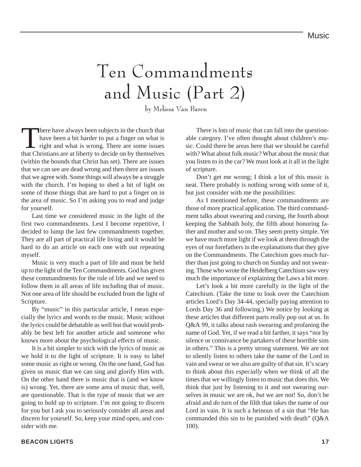# Ten Commandments and Music (Part 2)

by Melissa Van Baren

There have always been subjects in the church that<br>have been a bit harder to put a finger on what is<br>right and what is wrong. There are some issues<br>that Christians are at liberty to decide on by themselves have been a bit harder to put a finger on what is right and what is wrong. There are some issues that Christians are at liberty to decide on by themselves (within the bounds that Christ has set). There are issues that we can see are dead wrong and then there are issues that we agree with. Some things will always be a struggle with the church. I'm hoping to shed a bit of light on some of those things that are hard to put a finger on in the area of music. So I'm asking you to read and judge for yourself.

Last time we considered music in the light of the first two commandments. Lest I become repetitive, I decided to lump the last few commandments together. They are all part of practical life living and it would be hard to do an article on each one with out repeating myself.

Music is very much a part of life and must be held up to the light of the Ten Commandments. God has given these commandments for the rule of life and we need to follow them in all areas of life including that of music. Not one area of life should be excluded from the light of Scripture.

By "music" in this particular article, I mean especially the lyrics and words to the music. Music without the lyrics could be debatable as well but that would probably be best left for another article and someone who knows more about the psychological effects of music.

It is a bit simpler to stick with the lyrics of music as we hold it to the light of scripture. It is easy to label some music as right or wrong. On the one hand, God has given us music that we can sing and glorify Him with. On the other hand there is music that is (and we know is) wrong. Yet, there are some area of music that, well, are questionable. That is the type of music that we are going to hold up to scripture. I'm not going to discern for you but I ask you to seriously consider all areas and discern for yourself. So, keep your mind open, and consider with me.

There is lots of music that can fall into the questionable category. I've often thought about children's music. Could there be areas here that we should be careful with? What about folk music? What about the music that you listen to in the car? We must look at it all in the light of scripture.

Don't get me wrong; I think a lot of this music is neat. There probably is nothing wrong with some of it, but just consider with me the possibilities:

As I mentioned before, these commandments are those of more practical application. The third commandment talks about swearing and cursing, the fourth about keeping the Sabbath holy, the fifth about honoring father and mother and so on. They seem pretty simple. Yet we have much more light if we look at them through the eyes of our forefathers in the explanations that they give on the Commandments. The Catechism goes much further than just going to church on Sunday and not swearing. Those who wrote the Heidelberg Catechism saw very much the importance of explaining the Laws a bit more.

Let's look a bit more carefully in the light of the Catechism. (Take the time to look over the Catechism articles Lord's Day 34-44, specially paying attention to Lords Day 36 and following.) We notice by looking at these articles that different parts really pop out at us. In Q&A 99, it talks about rash swearing and profaning the name of God. Yet, if we read a bit farther, it says "nor by silence or connivance be partakers of these horrible sins in others." This is a pretty strong statement. We are not to silently listen to others take the name of the Lord in vain and swear or we also are guilty of that sin. It's scary to think about this *especially* when we think of all the times that we willingly listen to music that does this. We think that just by listening to it and not swearing ourselves in music we are ok, *but* we are not! So, don't be afraid and *do* turn of the filth that takes the name of our Lord in vain. It is such a heinous of a sin that "He has commanded this sin to be punished with death" (Q&A 100).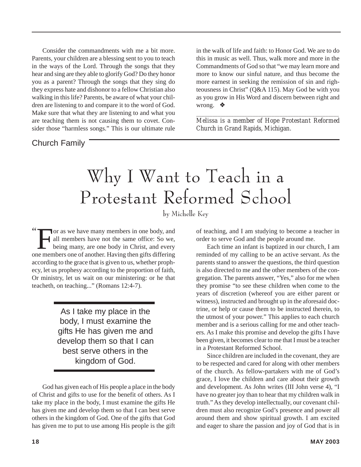Consider the commandments with me a bit more. Parents, your children are a blessing sent to you to teach in the ways of the Lord. Through the songs that they hear and sing are they able to glorify God? Do they honor you as a parent? Through the songs that they sing do they express hate and dishonor to a fellow Christian also walking in this life? Parents, be aware of what your children are listening to and compare it to the word of God. Make sure that what they are listening to and what you are teaching them is not causing them to covet. Consider those "harmless songs." This is our ultimate rule

Church Family

in the walk of life and faith: to Honor God. We are to do this in music as well. Thus, walk more and more in the Commandments of God so that "we may learn more and more to know our sinful nature, and thus become the more earnest in seeking the remission of sin and righteousness in Christ" (Q&A 115). May God be with you as you grow in His Word and discern between right and wrong. ❖

*\_\_\_\_\_\_\_\_\_\_\_\_\_\_\_\_\_\_\_\_\_\_\_\_\_\_\_\_\_\_\_\_\_\_\_\_\_\_\_\_\_\_\_\_\_\_\_\_\_\_\_\_\_ Melissa is a member of Hope Protestant Reformed Church in Grand Rapids, Michigan.*

## Why I Want to Teach in a Protestant Reformed School

by Michelle Key

" For as we have many members in one body, and<br>all members have not the same office: So we,<br>being many, are one body in Christ, and every<br>permembers one of another Having then gifts differing all members have not the same office: So we, being many, are one body in Christ, and every one members one of another. Having then gifts differing according to the grace that is given to us, whether prophecy, let us prophesy according to the proportion of faith, Or ministry, let us wait on our ministering: or he that teacheth, on teaching..." (Romans 12:4-7).

> As I take my place in the body, I must examine the gifts He has given me and develop them so that I can best serve others in the kingdom of God.

God has given each of His people a place in the body of Christ and gifts to use for the benefit of others. As I take my place in the body, I must examine the gifts He has given me and develop them so that I can best serve others in the kingdom of God. One of the gifts that God has given me to put to use among His people is the gift

of teaching, and I am studying to become a teacher in order to serve God and the people around me.

Each time an infant is baptized in our church, I am reminded of my calling to be an active servant. As the parents stand to answer the questions, the third question is also directed to me and the other members of the congregation. The parents answer, "Yes," also for me when they promise "to see these children when come to the years of discretion (whereof you are either parent or witness), instructed and brought up in the aforesaid doctrine, or help or cause them to be instructed therein, to the utmost of your power." This applies to each church member and is a serious calling for me and other teachers. As I make this promise and develop the gifts I have been given, it becomes clear to me that I must be a teacher in a Protestant Reformed School.

Since children are included in the covenant, they are to be respected and cared for along with other members of the church. As fellow-partakers with me of God's grace, I love the children and care about their growth and development. As John writes (III John verse 4), "I have no greater joy than to hear that my children walk in truth." As they develop intellectually, our covenant children must also recognize God's presence and power all around them and show spiritual growth. I am excited and eager to share the passion and joy of God that is in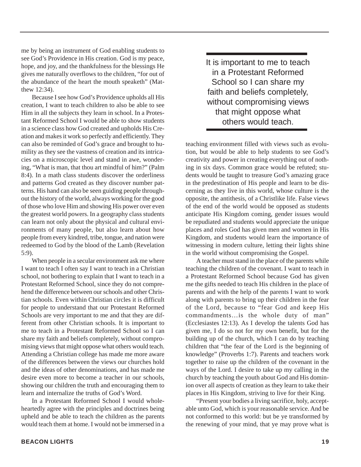me by being an instrument of God enabling students to see God's Providence in His creation. God is my peace, hope, and joy, and the thankfulness for the blessings He gives me naturally overflows to the children, "for out of the abundance of the heart the mouth speaketh" (Matthew 12:34).

Because I see how God's Providence upholds all His creation, I want to teach children to also be able to see Him in all the subjects they learn in school. In a Protestant Reformed School I would be able to show students in a science class how God created and upholds His Creation and makes it work so perfectly and efficiently. They can also be reminded of God's grace and brought to humility as they see the vastness of creation and its intricacies on a microscopic level and stand in awe, wondering, "What is man, that thou art mindful of him?" (Palm 8:4). In a math class students discover the orderliness and patterns God created as they discover number patterns. His hand can also be seen guiding people throughout the history of the world, always working for the good of those who love Him and showing His power over even the greatest world powers. In a geography class students can learn not only about the physical and cultural environments of many people, but also learn about how people from every kindred, tribe, tongue, and nation were redeemed to God by the blood of the Lamb (Revelation 5:9).

When people in a secular environment ask me where I want to teach I often say I want to teach in a Christian school, not bothering to explain that I want to teach in a Protestant Reformed School, since they do not comprehend the difference between our schools and other Christian schools. Even within Christian circles it is difficult for people to understand that our Protestant Reformed Schools are very important to me and that they are different from other Christian schools. It is important to me to teach in a Protestant Reformed School so I can share my faith and beliefs completely, without compromising views that might oppose what others would teach. Attending a Christian college has made me more aware of the differences between the views our churches hold and the ideas of other denominations, and has made me desire even more to become a teacher in our schools, showing our children the truth and encouraging them to learn and internalize the truths of God's Word.

In a Protestant Reformed School I would wholeheartedly agree with the principles and doctrines being upheld and be able to teach the children as the parents would teach them at home. I would not be immersed in a It is important to me to teach in a Protestant Reformed School so I can share my faith and beliefs completely, without compromising views that might oppose what others would teach.

teaching environment filled with views such as evolution, but would be able to help students to see God's creativity and power in creating everything out of nothing in six days. Common grace would be refuted; students would be taught to treasure God's amazing grace in the predestination of His people and learn to be discerning as they live in this world, whose culture is the opposite, the antithesis, of a Christlike life. False views of the end of the world would be opposed as students anticipate His Kingdom coming, gender issues would be repudiated and students would appreciate the unique places and roles God has given men and women in His Kingdom, and students would learn the importance of witnessing in modern culture, letting their lights shine in the world without compromising the Gospel.

A teacher must stand in the place of the parents while teaching the children of the covenant. I want to teach in a Protestant Reformed School because God has given me the gifts needed to teach His children in the place of parents and with the help of the parents I want to work along with parents to bring up their children in the fear of the Lord, because to "fear God and keep His commandments…is the whole duty of man" (Ecclesiastes 12:13). As I develop the talents God has given me, I do so not for my own benefit, but for the building up of the church, which I can do by teaching children that "the fear of the Lord is the beginning of knowledge" (Proverbs 1:7). Parents and teachers work together to raise up the children of the covenant in the ways of the Lord. I desire to take up my calling in the church by teaching the youth about God and His dominion over all aspects of creation as they learn to take their places in His Kingdom, striving to live for their King.

"Present your bodies a living sacrifice, holy, acceptable unto God, which is your reasonable service. And be not conformed to this world: but be ye transformed by the renewing of your mind, that ye may prove what is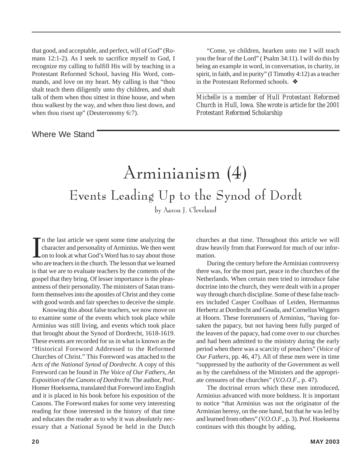that good, and acceptable, and perfect, will of God" (Romans 12:1-2). As I seek to sacrifice myself to God, I recognize my calling to fulfill His will by teaching in a Protestant Reformed School, having His Word, commands, and love on my heart. My calling is that "thou shalt teach them diligently unto thy children, and shalt talk of them when thou sittest in thine house, and when thou walkest by the way, and when thou liest down, and when thou risest up" (Deuteronomy 6:7).

### Where We Stand

"Come, ye children, hearken unto me I will teach you the fear of the Lord" ( Psalm 34:11). I will do this by being an example in word, in conversation, in charity, in spirit, in faith, and in purity" (I Timothy 4:12) as a teacher in the Protestant Reformed schools. ❖

*Michelle is a member of Hull Protestant Reformed Church in Hull, Iowa. She wrote is article for the 2001 Protestant Reformed Scholarship*

*\_\_\_\_\_\_\_\_\_\_\_\_\_\_\_\_\_\_\_\_\_\_\_\_\_\_\_\_\_\_\_\_\_\_\_\_\_\_\_\_\_\_\_\_\_\_\_\_\_\_\_\_\_\_*

### Arminianism (4) Events Leading Up to the Synod of Dordt by Aaron J. Cleveland

In the last article we spent some time analyzing the character and personality of Arminius. We then went on to look at what God's Word has to say about those who are teachers in the church. The lesson that we learned n the last article we spent some time analyzing the character and personality of Arminius. We then went on to look at what God's Word has to say about those is that we are to evaluate teachers by the contents of the gospel that they bring. Of lesser importance is the pleasantness of their personality. The ministers of Satan transform themselves into the apostles of Christ and they come with good words and fair speeches to deceive the simple.

Knowing this about false teachers, we now move on to examine some of the events which took place while Arminius was still living, and events which took place that brought about the Synod of Dordrecht, 1618-1619. These events are recorded for us in what is known as the "Historical Foreword Addressed to the Reformed Churches of Christ." This Foreword was attached to the *Acts of the National Synod of Dordrecht*. A copy of this Foreword can be found in *The Voice of Our Fathers, An Exposition of the Canons of Dordrecht*. The author, Prof. Homer Hoeksema, translated that Foreword into English and it is placed in his book before his exposition of the Canons. The Foreword makes for some very interesting reading for those interested in the history of that time and educates the reader as to why it was absolutely necessary that a National Synod be held in the Dutch

churches at that time. Throughout this article we will draw heavily from that Foreword for much of our information.

During the century before the Arminian controversy there was, for the most part, peace in the churches of the Netherlands. When certain men tried to introduce false doctrine into the church, they were dealt with in a proper way through church discipline. Some of these false teachers included Casper Coolhaas of Leiden, Hermannus Herbertz at Dordrecht and Gouda, and Cornelius Wiggers at Hoorn. These forerunners of Arminius, "having forsaken the papacy, but not having been fully purged of the leaven of the papacy, had come over to our churches and had been admitted to the ministry during the early period when there was a scarcity of preachers" (*Voice of Our Fathers*, pp. 46, 47). All of these men were in time "suppressed by the authority of the Government as well as by the carefulness of the Ministers and the appropriate censures of the churches" (*V.O.O.F*., p. 47).

The doctrinal errors which these men introduced, Arminius advanced with more boldness. It is important to notice "that Arminius was not the originator of the Arminian heresy, on the one hand, but that he was led by and learned from others" (*V.O.O.F*., p. 3). Prof. Hoeksema continues with this thought by adding,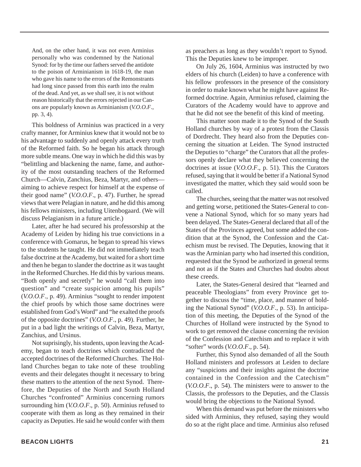And, on the other hand, it was not even Arminius personally who was condemned by the National Synod: for by the time our fathers served the antidote to the poison of Arminianism in 1618-19, the man who gave his name to the errors of the Remonstrants had long since passed from this earth into the realm of the dead. And yet, as we shall see, it is not without reason historically that the errors rejected in our Canons are popularly known as Arminianism (*V.O.O.F*., pp. 3, 4).

This boldness of Arminius was practiced in a very crafty manner, for Arminius knew that it would not be to his advantage to suddenly and openly attack every truth of the Reformed faith. So he began his attack through more subtle means. One way in which he did this was by "belittling and blackening the name, fame, and authority of the most outstanding teachers of the Reformed Church—Calvin, Zanchius, Beza, Martyr, and others aiming to achieve respect for himself at the expense of their good name" (*V.O.O.F*., p. 47). Further, he spread views that were Pelagian in nature, and he did this among his fellows ministers, including Uitenbogaard. (We will discuss Pelagianism in a future article.)

Later, after he had secured his professorship at the Academy of Leiden by hiding his true convictions in a conference with Gomarus, he began to spread his views to the students he taught. He did not immediately teach false doctrine at the Academy, but waited for a short time and then he began to slander the doctrine as it was taught in the Reformed Churches. He did this by various means. "Both openly and secretly" he would "call them into question" and "create suspicion among his pupils" (*V.O.O.F*., p. 49). Arminius "sought to render impotent the chief proofs by which those same doctrines were established from God's Word" and "he exalted the proofs of the opposite doctrines" (*V.O.O.F*., p. 49). Further, he put in a bad light the writings of Calvin, Beza, Martyr, Zanchius, and Ursinus.

Not suprisingly, his students, upon leaving the Academy, began to teach doctrines which contradicted the accepted doctrines of the Reformed Churches. The Holland Churches began to take note of these troubling events and their delegates thought it necessary to bring these matters to the attention of the next Synod. Therefore, the Deputies of the North and South Holland Churches "confronted" Arminius concerning rumors surrounding him (*V.O.O.F*., p. 50). Arminius refused to cooperate with them as long as they remained in their capacity as Deputies. He said he would confer with them

as preachers as long as they wouldn't report to Synod. This the Deputies knew to be improper.

On July 26, 1604, Arminius was instructed by two elders of his church (Leiden) to have a conference with his fellow professors in the presence of the consistory in order to make known what he might have against Reformed doctrine. Again, Arminius refused, claiming the Curators of the Academy would have to approve and that he did not see the benefit of this kind of meeting.

This matter soon made it to the Synod of the South Holland churches by way of a protest from the Classis of Dordrecht. They heard also from the Deputies concerning the situation at Leiden. The Synod instructed the Deputies to "charge" the Curators that all the professors openly declare what they believed concerning the doctrines at issue (*V.O.O.F*., p. 51). This the Curators refused, saying that it would be better if a National Synod investigated the matter, which they said would soon be called.

The churches, seeing that the matter was not resolved and getting worse, petitioned the States-General to convene a National Synod, which for so many years had been delayed. The States-General declared that all of the States of the Provinces agreed, but some added the condition that at the Synod, the Confession and the Catechism must be revised. The Deputies, knowing that it was the Arminian party who had inserted this condition, requested that the Synod be authorized in general terms and not as if the States and Churches had doubts about these creeds.

Later, the States-General desired that "learned and peaceable Theologians" from every Province get together to discuss the "time, place, and manner of holding the National Synod" (*V.O.O.F*., p. 53). In anticipation of this meeting, the Deputies of the Synod of the Churches of Holland were instructed by the Synod to work to get removed the clause concerning the revision of the Confession and Catechism and to replace it with "softer" words (*V.O.O.F*., p. 54).

Further, this Synod also demanded of all the South Holland ministers and professors at Leiden to declare any "suspicions and their insights against the doctrine contained in the Confession and the Catechism" (*V.O.O.F*., p. 54). The ministers were to answer to the Classis, the professors to the Deputies, and the Classis would bring the objections to the National Synod.

When this demand was put before the ministers who sided with Arminius, they refused, saying they would do so at the right place and time. Arminius also refused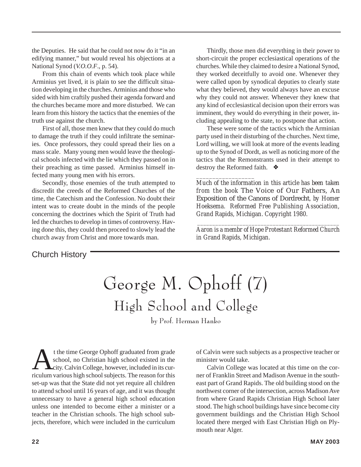the Deputies. He said that he could not now do it "in an edifying manner," but would reveal his objections at a National Synod (*V.O.O.F*., p. 54).

From this chain of events which took place while Arminius yet lived, it is plain to see the difficult situation developing in the churches. Arminius and those who sided with him craftily pushed their agenda forward and the churches became more and more disturbed. We can learn from this history the tactics that the enemies of the truth use against the church.

First of all, those men knew that they could do much to damage the truth if they could infiltrate the seminaries. Once professors, they could spread their lies on a mass scale. Many young men would leave the theological schools infected with the lie which they passed on in their preaching as time passed. Arminius himself infected many young men with his errors.

Secondly, those enemies of the truth attempted to discredit the creeds of the Reformed Churches of the time, the Catechism and the Confession. No doubt their intent was to create doubt in the minds of the people concerning the doctrines which the Spirit of Truth had led the churches to develop in times of controversy. Having done this, they could then proceed to slowly lead the church away from Christ and more towards man.

Thirdly, those men did everything in their power to short-circuit the proper ecclesiastical operations of the churches. While they claimed to desire a National Synod, they worked deceitfully to avoid one. Whenever they were called upon by synodical deputies to clearly state what they believed, they would always have an excuse why they could not answer. Whenever they knew that any kind of ecclesiastical decision upon their errors was imminent, they would do everything in their power, including appealing to the state, to postpone that action.

These were some of the tactics which the Arminian party used in their disturbing of the churches. Next time, Lord willing, we will look at more of the events leading up to the Synod of Dordt, as well as noticing more of the tactics that the Remonstrants used in their attempt to destroy the Reformed faith. ❖

*\_\_\_\_\_\_\_\_\_\_\_\_\_\_\_\_\_\_ Much of the information in this article has been taken from the book* The Voice of Our Fathers, An Exposition of the Canons of Dordrecht*, by Homer Hoeksema. Reformed Free Publishing Association, Grand Rapids, Michigan. Copyright 1980.*

 *\_\_\_\_\_\_\_\_\_\_\_\_\_\_\_\_\_\_\_\_\_\_\_\_\_\_\_\_\_\_\_\_\_\_\_\_\_\_\_\_\_\_\_\_\_\_\_ Aaron is a membr of Hope Protestant Reformed Church in Grand Rapids, Michigan.*

### Church History

# George M. Ophoff (7) High School and College

by Prof. Herman Hanko

t the time George Ophoff graduated from grade<br>school, no Christian high school existed in the<br>city. Calvin College, however, included in its cur-<br>riculum various high school subjects. The reason for this school, no Christian high school existed in the city. Calvin College, however, included in its curriculum various high school subjects. The reason for this set-up was that the State did not yet require all children to attend school until 16 years of age, and it was thought unnecessary to have a general high school education unless one intended to become either a minister or a teacher in the Christian schools. The high school subjects, therefore, which were included in the curriculum

of Calvin were such subjects as a prospective teacher or minister would take.

Calvin College was located at this time on the corner of Franklin Street and Madison Avenue in the southeast part of Grand Rapids. The old building stood on the northwest corner of the intersection, across Madison Ave from where Grand Rapids Christian High School later stood. The high school buildings have since become city government buildings and the Christian High School located there merged with East Christian High on Plymouth near Alger.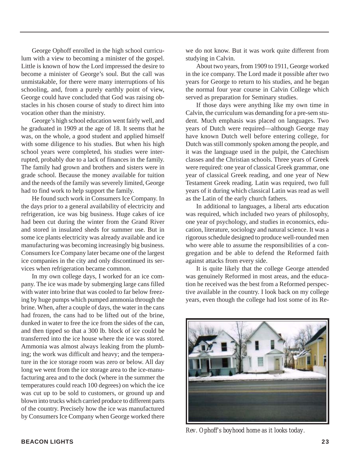George Ophoff enrolled in the high school curriculum with a view to becoming a minister of the gospel. Little is known of how the Lord impressed the desire to become a minister of George's soul. But the call was unmistakable, for there were many interruptions of his schooling, and, from a purely earthly point of view, George could have concluded that God was raising obstacles in his chosen course of study to direct him into vocation other than the ministry.

George's high school education went fairly well, and he graduated in 1909 at the age of 18. It seems that he was, on the whole, a good student and applied himself with some diligence to his studies. But when his high school years were completed, his studies were interrupted, probably due to a lack of finances in the family. The family had grown and brothers and sisters were in grade school. Because the money available for tuition and the needs of the family was severely limited, George had to find work to help support the family.

He found such work in Consumers Ice Company. In the days prior to a general availability of electricity and refrigeration, ice was big business. Huge cakes of ice had been cut during the winter from the Grand River and stored in insulated sheds for summer use. But in some ice plants electricity was already available and ice manufacturing was becoming increasingly big business. Consumers Ice Company later became one of the largest ice companies in the city and only discontinued its services when refrigeration became common.

In my own college days, I worked for an ice company. The ice was made by submerging large cans filled with water into brine that was cooled to far below freezing by huge pumps which pumped ammonia through the brine. When, after a couple of days, the water in the cans had frozen, the cans had to be lifted out of the brine, dunked in water to free the ice from the sides of the can, and then tipped so that a 300 lb. block of ice could be transferred into the ice house where the ice was stored. Ammonia was almost always leaking from the plumbing; the work was difficult and heavy; and the temperature in the ice storage room was zero or below. All day long we went from the ice storage area to the ice-manufacturing area and to the dock (where in the summer the temperatures could reach 100 degrees) on which the ice was cut up to be sold to customers, or ground up and blown into trucks which carried produce to different parts of the country. Precisely how the ice was manufactured by Consumers Ice Company when George worked there we do not know. But it was work quite different from studying in Calvin.

About two years, from 1909 to 1911, George worked in the ice company. The Lord made it possible after two years for George to return to his studies, and he began the normal four year course in Calvin College which served as preparation for Seminary studies.

If those days were anything like my own time in Calvin, the curriculum was demanding for a pre-sem student. Much emphasis was placed on languages. Two years of Dutch were required—although George may have known Dutch well before entering college, for Dutch was still commonly spoken among the people, and it was the language used in the pulpit, the Catechism classes and the Christian schools. Three years of Greek were required: one year of classical Greek grammar, one year of classical Greek reading, and one year of New Testament Greek reading. Latin was required, two full years of it during which classical Latin was read as well as the Latin of the early church fathers.

In additional to languages, a liberal arts education was required, which included two years of philosophy, one year of psychology, and studies in economics, education, literature, sociology and natural science. It was a rigorous schedule designed to produce well-rounded men who were able to assume the responsibilities of a congregation and be able to defend the Reformed faith against attacks from every side.

It is quite likely that the college George attended was genuinely Reformed in most areas, and the education he received was the best from a Reformed perspective available in the country. I look back on my college years, even though the college had lost some of its Re-



*Rev. Ophoff's boyhood home as it looks today.*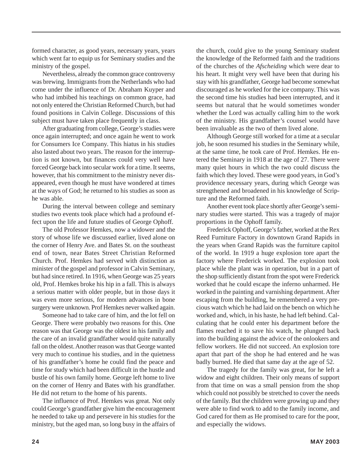formed character, as good years, necessary years, years which went far to equip us for Seminary studies and the ministry of the gospel.

Nevertheless, already the common grace controversy was brewing. Immigrants from the Netherlands who had come under the influence of Dr. Abraham Kuyper and who had imbibed his teachings on common grace, had not only entered the Christian Reformed Church, but had found positions in Calvin College. Discussions of this subject must have taken place frequently in class.

After graduating from college, George's studies were once again interrupted; and once again he went to work for Consumers Ice Company. This hiatus in his studies also lasted about two years. The reason for the interruption is not known, but finances could very well have forced George back into secular work for a time. It seems, however, that his commitment to the ministry never disappeared, even though he must have wondered at times at the ways of God; he returned to his studies as soon as he was able.

During the interval between college and seminary studies two events took place which had a profound effect upon the life and future studies of George Ophoff.

The old Professor Hemkes, now a widower and the story of whose life we discussed earlier, lived alone on the corner of Henry Ave. and Bates St. on the southeast end of town, near Bates Street Christian Reformed Church. Prof. Hemkes had served with distinction as minister of the gospel and professor in Calvin Seminary, but had since retired. In 1916, when George was 25 years old, Prof. Hemkes broke his hip in a fall. This is always a serious matter with older people, but in those days it was even more serious, for modern advances in bone surgery were unknown. Prof Hemkes never walked again.

Someone had to take care of him, and the lot fell on George. There were probably two reasons for this. One reason was that George was the oldest in his family and the care of an invalid grandfather would quite naturally fall on the oldest. Another reason was that George wanted very much to continue his studies, and in the quietness of his grandfather's home he could find the peace and time for study which had been difficult in the hustle and bustle of his own family home. George left home to live on the corner of Henry and Bates with his grandfather. He did not return to the home of his parents.

The influence of Prof. Hemkes was great. Not only could George's grandfather give him the encouragement he needed to take up and persevere in his studies for the ministry, but the aged man, so long busy in the affairs of

the church, could give to the young Seminary student the knowledge of the Reformed faith and the traditions of the churches of the *Afscheiding* which were dear to his heart. It might very well have been that during his stay with his grandfather, George had become somewhat discouraged as he worked for the ice company. This was the second time his studies had been interrupted, and it seems but natural that he would sometimes wonder whether the Lord was actually calling him to the work of the ministry. His grandfather's counsel would have been invaluable as the two of them lived alone.

Although George still worked for a time at a secular job, he soon resumed his studies in the Seminary while, at the same time, he took care of Prof. Hemkes. He entered the Seminary in 1918 at the age of 27. There were many quiet hours in which the two could discuss the faith which they loved. These were good years, in God's providence necessary years, during which George was strengthened and broadened in his knowledge of Scripture and the Reformed faith.

Another event took place shortly after George's seminary studies were started. This was a tragedy of major proportions in the Ophoff family.

Frederick Ophoff, George's father, worked at the Rex Reed Furniture Factory in downtown Grand Rapids in the years when Grand Rapids was the furniture capitol of the world. In 1919 a huge explosion tore apart the factory where Frederick worked. The explosion took place while the plant was in operation, but in a part of the shop sufficiently distant from the spot were Frederick worked that he could escape the inferno unharmed. He worked in the painting and varnishing department. After escaping from the building, he remembered a very precious watch which he had laid on the bench on which he worked and, which, in his haste, he had left behind. Calculating that he could enter his department before the flames reached it to save his watch, he plunged back into the building against the advice of the onlookers and fellow workers. He did not succeed. An explosion tore apart that part of the shop he had entered and he was badly burned. He died that same day at the age of 52.

The tragedy for the family was great, for he left a widow and eight children. Their only means of support from that time on was a small pension from the shop which could not possibly be stretched to cover the needs of the family. But the children were growing up and they were able to find work to add to the family income, and God cared for them as He promised to care for the poor, and especially the widows.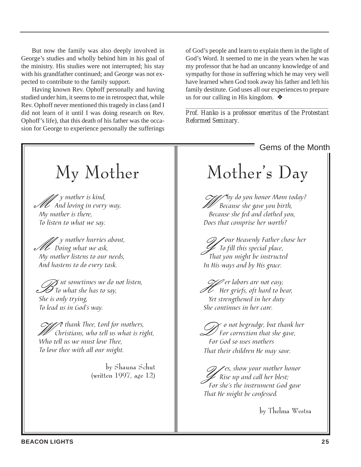But now the family was also deeply involved in George's studies and wholly behind him in his goal of the ministry. His studies were not interrupted; his stay with his grandfather continued; and George was not expected to contribute to the family support.

Having known Rev. Ophoff personally and having studied under him, it seems to me in retrospect that, while Rev. Ophoff never mentioned this tragedy in class (and I did not learn of it until I was doing research on Rev. Ophoff's life), that this death of his father was the occasion for George to experience personally the sufferings of God's people and learn to explain them in the light of God's Word. It seemed to me in the years when he was my professor that he had an uncanny knowledge of and sympathy for those in suffering which he may very well have learned when God took away his father and left his family destitute. God uses all our experiences to prepare us for our calling in His kingdom.  $\triangleleft$ 

*\_\_\_\_\_\_\_\_\_\_\_\_\_\_\_\_\_\_\_\_\_\_\_\_\_\_\_\_\_\_\_\_\_\_\_\_\_\_\_\_\_\_\_\_\_\_\_\_\_\_ Prof. Hanko is a professor emeritus of the Protestant Reformed Seminary.*

**BEACON LIGHTS 25** Gems of the Month Mother's Day  $\mathcal{C}$  /  $\mathcal{U}$  hy do you honor Mom today? Because she gave you birth, Because she fed and clothed you, Does that comprise her worth? *G y* our Heavenly Father chose her<br>To fill this special place,<br>That you might he instructed That you might be instructed In His ways and by His grace. Ger labors are not easy,<br>Her griefs, oft hard to bear,<br>Yet strengthaned in her duty Yet strengthened in her duty She continues in her care. D o not begrudge, but thank her For correction that she gave, For God so uses mothers That their children He may save.  $\mathscr{D} \mathscr{L}$ es, show your mother honor Rise up and call her blest; For she's the instrument God gave That He might be confessed. by Thelma Westra My Mother *I* y mother is kind,<br>I And loving in every way,<br>Mumathar is than My mother is there, To listen to what we say. *M* y mother hurries about,<br>*M* Doing what we ask,<br>My mother listens to our needs My mother listens to our needs, And hastens to do every task.  $\widetilde{\mathscr{D}}$  ut sometimes we do not listen,  $\mathcal I$  To what she has to say, She is only trying, To lead us in God's way. *C* e thank Thee, Lord for mothers,<br>Christians, who tell us what is right,<br>Wha tell us we wont love Thee Who tell us we must love Thee, To love thee with all our might. by Shauna Schut (written 1997, age 12)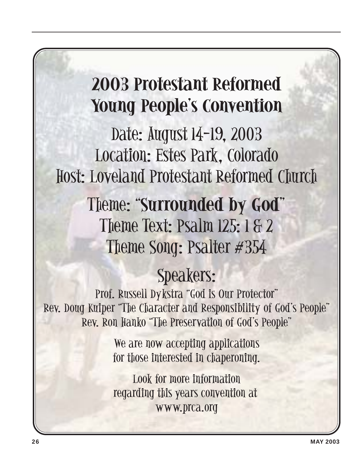## **2003 Protestant Reformed Young People's Convention**

Date: August 14-19, 2003 Location: Estes Park, Colorado Host: Loveland Protestant Reformed Church

> Theme: "**Surrounded by God**" Theme Text: Psalm 125: 1 & 2 Theme Song: Psalter #354

### Speakers:

Prof. Russell Dykstra "God is Our Protector" Rev. Doug Kuiper "The Character and Responsibility of God's People" Rev. Ron Hanko "The Preservation of God's People"

> We are now accepting applications for those interested in chaperoning.

Look for more information regarding this years convention at www.prca.org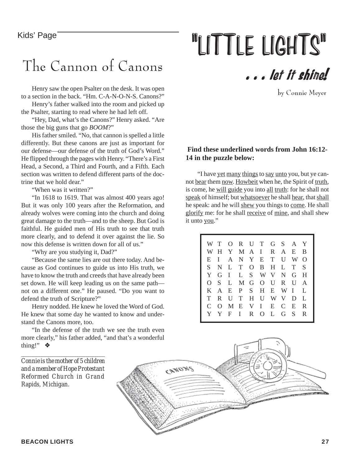### The Cannon of Canons

Henry saw the open Psalter on the desk. It was open to a section in the back. "Hm. C-A-N-O-N-S. Canons?"

Henry's father walked into the room and picked up the Psalter, starting to read where he had left off.

"Hey, Dad, what's the Canons?" Henry asked. "Are those the big guns that go *BOOM*?"

His father smiled. "No, that cannon is spelled a little differently. But these canons are just as important for our defense—our defense of the truth of God's Word." He flipped through the pages with Henry. "There's a First Head, a Second, a Third and Fourth, and a Fifth. Each section was written to defend different parts of the doctrine that we hold dear."

"When was it written?"

"In 1618 to 1619. That was almost 400 years ago! But it was only 100 years after the Reformation, and already wolves were coming into the church and doing great damage to the truth—and to the sheep. But God is faithful. He guided men of His truth to see that truth more clearly, and to defend it over against the lie. So now this defense is written down for all of us."

"Why are you studying it, Dad?"

"Because the same lies are out there today. And because as God continues to guide us into His truth, we have to know the truth and creeds that have already been set down. He will keep leading us on the same path not on a different one." He paused. "Do you want to defend the truth of Scripture?"

Henry nodded. He knew he loved the Word of God. He knew that some day he wanted to know and understand the Canons more, too.

"In the defense of the truth we see the truth even more clearly," his father added, "and that's a wonderful thing!" ❖

Kids' Page **The Contract Contract Contract Contract Contract Contract Contract Contract Contract Contract Contract Contract Contract Contract Contract Contract Contract Contract Contract Contract Contract Contract Contract** 



by Connie Meyer

#### **Find these underlined words from John 16:12- 14 in the puzzle below:**

"I have yet many things to say unto you, but ye cannot bear them now. Howbeit when he, the Spirit of truth, is come, he will guide you into all truth: for he shall not speak of himself; but whatsoever he shall hear, that shall he speak: and he will shew you things to come. He shall glorify me: for he shall receive of mine, and shall shew it unto you."

|               |     |              | WTORUTGSAY          |         |         |    |                |
|---------------|-----|--------------|---------------------|---------|---------|----|----------------|
|               |     |              | WHYMAI              |         | R A E B |    |                |
|               | E I |              | A N Y E T U         |         |         | W  | $\Omega$       |
| S.            |     |              | N L T O B H L T     |         |         |    | S              |
| Y             |     |              | G I L S W V N G     |         |         |    | $_{\rm H}$     |
| $\Omega$      |     |              | S L M G O U R U     |         |         |    | A              |
|               |     |              | K A E P S H E W I L |         |         |    |                |
| T             |     |              | R U T H U W V       |         |         | D  | $\blacksquare$ |
| $\mathcal{C}$ |     |              | O M E V I E C E     |         |         |    | $\overline{R}$ |
|               | Y Y | $\mathbf{F}$ | $\mathbf{I}$        | R O L G |         | S. | R              |
|               |     |              |                     |         |         |    |                |

*\_\_\_\_\_\_\_\_\_\_\_\_\_\_\_\_\_\_\_\_\_\_\_\_\_\_\_\_\_\_\_\_\_\_\_\_\_\_\_\_\_\_\_\_\_\_ Connie is the mother of 5 children and a member of Hope Protestant Reformed Church in Grand Rapids, Michigan.*